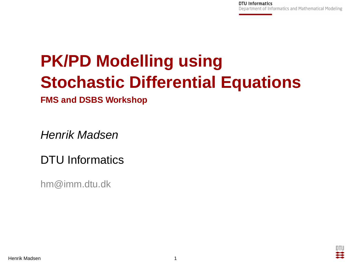# **PK/PD Modelling using Stochastic Differential Equations**

**FMS and DSBS Workshop**

Henrik Madsen

# DTU Informatics

hm@imm.dtu.dk

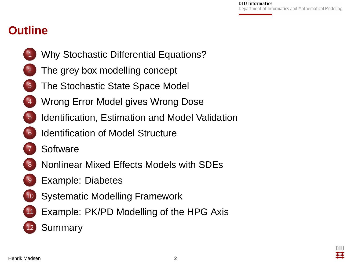## **Outline**

- <sup>1</sup> [Why Stochastic Differential Equations?](#page-2-0)
- [The grey box modelling concept](#page-7-0)
- [The Stochastic State Space Model](#page-10-0)
- [Wrong Error Model gives Wrong Dose](#page-13-0)
- [Identification, Estimation and Model Validation](#page-14-0)
- **[Identification of Model Structure](#page-15-0)**
- **[Software](#page-17-0)**
- <sup>8</sup> [Nonlinear Mixed Effects Models with SDEs](#page-20-0)
- **[Example: Diabetes](#page-24-0)**
- [Systematic Modelling Framework](#page-29-0)
- [Example: PK/PD Modelling of the HPG Axis](#page-30-0)
- 

**[Summary](#page-34-0)**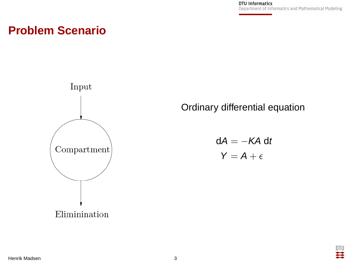#### **Problem Scenario**



Ordinary differential equation

<span id="page-2-0"></span> $dA = -KA dt$  $Y = A + \epsilon$ 

Henrik Madsen 3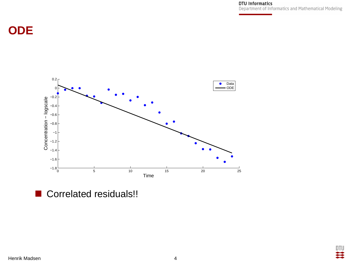## **ODE**



Correlated residuals!!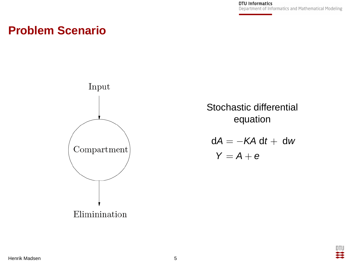> וודח Ħ

#### **Problem Scenario**



Stochastic differential equation

 $dA = -KA dt + dw$  $Y = A + e$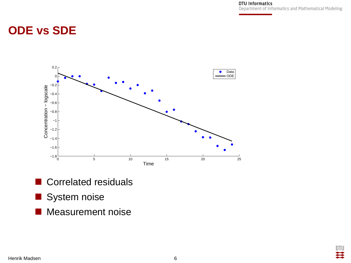> DTU ×

#### **ODE vs SDE**



- Correlated residuals
- System noise
- **Measurement noise**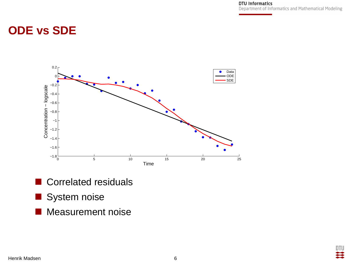> DTU Ħ

# **ODE vs SDE**



- Correlated residuals
- System noise
- **Measurement noise**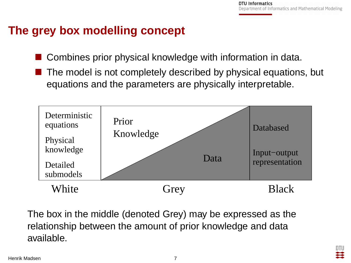### **The grey box modelling concept**

- Combines prior physical knowledge with information in data.
- The model is not completely described by physical equations, but equations and the parameters are physically interpretable.



<span id="page-7-0"></span>The box in the middle (denoted Grey) may be expressed as the relationship between the amount of prior knowledge and data available.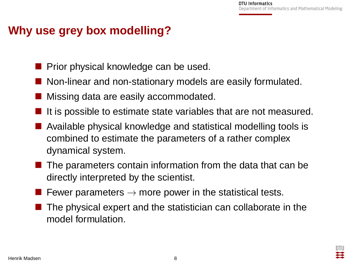#### **Why use grey box modelling?**

- Prior physical knowledge can be used.
- Non-linear and non-stationary models are easily formulated.
- Missing data are easily accommodated.
- It is possible to estimate state variables that are not measured.
- Available physical knowledge and statistical modelling tools is combined to estimate the parameters of a rather complex dynamical system.
- $\blacksquare$  The parameters contain information from the data that can be directly interpreted by the scientist.
- Fewer parameters  $\rightarrow$  more power in the statistical tests.
- The physical expert and the statistician can collaborate in the model formulation.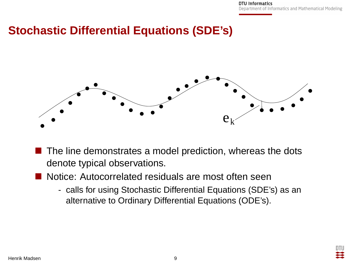#### **Stochastic Differential Equations (SDE's)**



- $\blacksquare$  The line demonstrates a model prediction, whereas the dots denote typical observations.
- Notice: Autocorrelated residuals are most often seen
	- calls for using Stochastic Differential Equations (SDE's) as an alternative to Ordinary Differential Equations (ODE's).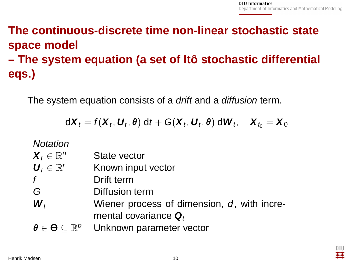# **The continuous-discrete time non-linear stochastic state space model – The system equation (a set of Itô stochastic differential eqs.)**

The system equation consists of a *drift* and a *diffusion* term.

<span id="page-10-0"></span>
$$
d\boldsymbol{X}_t = f(\boldsymbol{X}_t, \boldsymbol{U}_t, \boldsymbol{\theta}) dt + G(\boldsymbol{X}_t, \boldsymbol{U}_t, \boldsymbol{\theta}) d\boldsymbol{W}_t, \quad \boldsymbol{X}_{t_0} = \boldsymbol{X}_0
$$

#### **Notation**

| $\boldsymbol{X}_t \in \mathbb{R}^n$                                    | State vector                                                           |
|------------------------------------------------------------------------|------------------------------------------------------------------------|
| $\boldsymbol{U}_t \in \mathbb{R}^r$                                    | Known input vector                                                     |
| f                                                                      | Drift term                                                             |
| G                                                                      | Diffusion term                                                         |
| $\boldsymbol{W}_t$                                                     | Wiener process of dimension, d, with incre-<br>mental covariance $Q_t$ |
|                                                                        |                                                                        |
| $\boldsymbol{\theta} \in \boldsymbol{\Theta} \subseteq \mathbb{R}^p$ . | Unknown parameter vector                                               |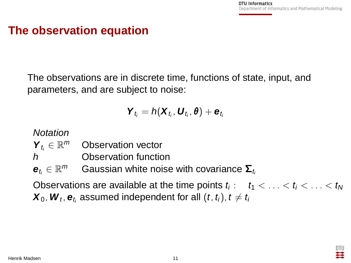#### **The observation equation**

The observations are in discrete time, functions of state, input, and parameters, and are subject to noise:

$$
\bm{Y}_{t_i} = h(\bm{X}_{t_i}, \bm{U}_{t_i}, \theta) + \bm{e}_{t_i}
$$

#### **Notation**

| $\bm{Y}_{t_i} \in \mathbb{R}^m$ | Observation vector |
|---------------------------------|--------------------|
|---------------------------------|--------------------|

h Observation function

 $\mathbf{e}_{t_i} \in \mathbb{R}^m$  Gaussian white noise with covariance  $\mathbf{\Sigma}_t$ 

Observations are available at the time points  $t_i: \quad t_1 < \ldots < t_i < \ldots < t_{\text{N}}$  $\boldsymbol{X}_0$ ,  $\boldsymbol{W}_t$ ,  $\boldsymbol{\mathsf{e}}_{t_i}$  assumed independent for all  $(t,$   $t_i)$ ,  $t\neq t_i$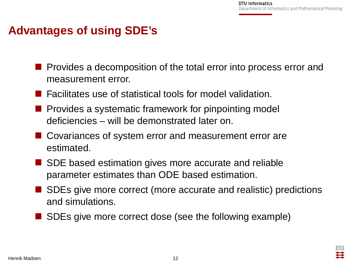### **Advantages of using SDE's**

- **Provides a decomposition of the total error into process error and** measurement error.
- Facilitates use of statistical tools for model validation.
- Provides a systematic framework for pinpointing model deficiencies – will be demonstrated later on.
- Covariances of system error and measurement error are estimated.
- SDE based estimation gives more accurate and reliable parameter estimates than ODE based estimation.
- SDEs give more correct (more accurate and realistic) predictions and simulations.
- SDEs give more correct dose (see the following example)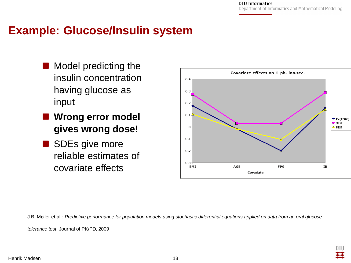#### **Example: Glucose/Insulin system**

- Model predicting the insulin concentration having glucose as input
- **Wrong error model gives wrong dose!**
- SDEs give more reliable estimates of covariate effects

<span id="page-13-0"></span>

J.B. Møller et.al.: Predictive performance for population models using stochastic differential equations applied on data from an oral glucose

tolerance test, Journal of PK/PD, 2009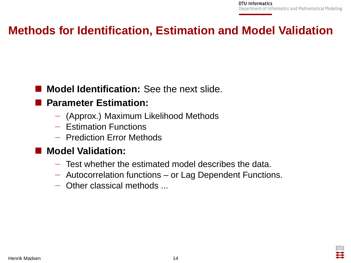#### **Methods for Identification, Estimation and Model Validation**

#### **Model Identification:** See the next slide.

#### **Parameter Estimation:**

- − (Approx.) Maximum Likelihood Methods
- − Estimation Functions
- − Prediction Error Methods

#### **Model Validation:**

- − Test whether the estimated model describes the data.
- − Autocorrelation functions or Lag Dependent Functions.
- <span id="page-14-0"></span>− Other classical methods ...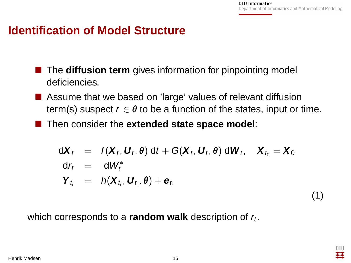<span id="page-15-0"></span>(1)

#### **Identification of Model Structure**

- The **diffusion term** gives information for pinpointing model deficiencies.
- Assume that we based on 'large' values of relevant diffusion term(s) suspect  $r \in \theta$  to be a function of the states, input or time.
- **Then consider the extended state space model:**

$$
dX_t = f(X_t, U_t, \theta) dt + G(X_t, U_t, \theta) dW_t, X_{t_0} = X_0
$$
  
\n
$$
dY_t = dW_t^*
$$
  
\n
$$
Y_t = h(X_{t_0}, U_{t_0}, \theta) + e_{t_0}
$$

which corresponds to a **random walk** description of  $r_t$ .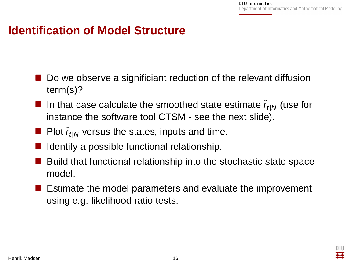#### **Identification of Model Structure**

- Do we observe a significiant reduction of the relevant diffusion term(s)?
- In that case calculate the smoothed state estimate  $\hat{r}_{t|N}$  (use for instance the software tool CTSM - see the next slide).
- **Plot**  $\hat{r}_{\text{HN}}$  versus the states, inputs and time.
- $\blacksquare$  Identify a possible functional relationship.
- Build that functional relationship into the stochastic state space model.
- **Estimate the model parameters and evaluate the improvement** using e.g. likelihood ratio tests.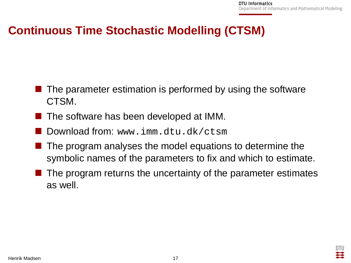#### **Continuous Time Stochastic Modelling (CTSM)**

- $\blacksquare$  The parameter estimation is performed by using the software CTSM.
- $\blacksquare$  The software has been developed at IMM.
- Download from: www.imm.dtu.dk/ctsm
- $\blacksquare$  The program analyses the model equations to determine the symbolic names of the parameters to fix and which to estimate.
- <span id="page-17-0"></span> The program returns the uncertainty of the parameter estimates as well.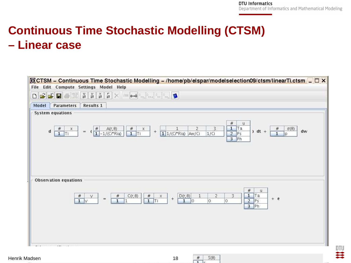DTU

# **Continuous Time Stochastic Modelling (CTSM) – Linear case**



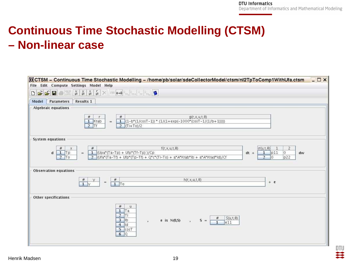וודח 芸

# **Continuous Time Stochastic Modelling (CTSM) – Non-linear case**

| $ \Box$ $\times$<br>CCTSM - Continuous Time Stochastic Modelling - /home/pb/solar/sdeCollectorModel/ctsm/nl2TpToComp1WithUfa.ctsm<br>File Edit Compute Settings Model Help |                                                                        |                                                                                                       |                                                                                                                                    |  |  |  |
|----------------------------------------------------------------------------------------------------------------------------------------------------------------------------|------------------------------------------------------------------------|-------------------------------------------------------------------------------------------------------|------------------------------------------------------------------------------------------------------------------------------------|--|--|--|
|                                                                                                                                                                            |                                                                        |                                                                                                       |                                                                                                                                    |  |  |  |
| Results 1<br>Parameters<br>Model                                                                                                                                           |                                                                        |                                                                                                       |                                                                                                                                    |  |  |  |
| <b>Algebraic equations</b>                                                                                                                                                 |                                                                        |                                                                                                       |                                                                                                                                    |  |  |  |
|                                                                                                                                                                            | $\#$<br>$\#$<br>1 Ktab<br>÷<br>$2$ Tf<br>$2$ (Ti+To)/2                 | $g(r, x, u, t, \theta)$<br>1 $(1-b*(1/cosT-1))$ * $(1/(1+exp(-1000*(cosT-1/(1/b+1))))$                |                                                                                                                                    |  |  |  |
| <b>System equations</b>                                                                                                                                                    |                                                                        |                                                                                                       |                                                                                                                                    |  |  |  |
| #<br>$\times$<br>$1$ Tp<br>$\mathbf{d}$<br>$\blacksquare$<br>$2$ To                                                                                                        | #<br>1 (Upa*(Ta-Tp) + Ufp*(Tf-Tp) )/Cp                                 | $f(r, x, u, t, \theta)$<br>2 (Ufa*(Ta-Tf) + Ufp*(Tp-Tf) + Q*c*(Ti-To) + a*A*Ktab*lb + a*A*Ktad*ld)/Cf | $\sigma(u,t,\theta)$<br>$\overline{2}$<br>$\mathbf{1}$<br>o<br>$1$ p11<br>$dt +$<br>dw<br>$\overline{2}$<br>$\overline{10}$<br>p22 |  |  |  |
| <b>Observation equations</b>                                                                                                                                               |                                                                        |                                                                                                       |                                                                                                                                    |  |  |  |
|                                                                                                                                                                            | #<br>$\frac{\#}{1}$<br>$\qquad \qquad =$<br>$1$ To                     | $h(r, x, u, t, \theta)$                                                                               | $+$ e                                                                                                                              |  |  |  |
| Other specifications                                                                                                                                                       |                                                                        |                                                                                                       |                                                                                                                                    |  |  |  |
|                                                                                                                                                                            | $\#$<br>u<br>$1$ Ta<br>$2$ Ti<br>$3$ lb<br>$4$ Id<br>5 COST<br>$6$ $Q$ | $S(u,t,\theta)$<br>e is $N(0, S)$ ,<br>$S =  $<br>$\mathbf{a}$<br>e11                                 |                                                                                                                                    |  |  |  |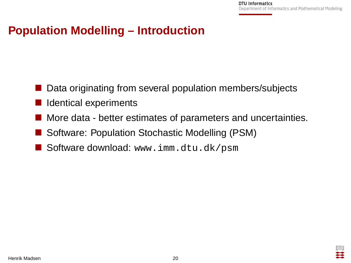#### **Population Modelling – Introduction**

- Data originating from several population members/subjects
- Identical experiments
- More data better estimates of parameters and uncertainties.
- Software: Population Stochastic Modelling (PSM)
- <span id="page-20-0"></span>Software download: www.imm.dtu.dk/psm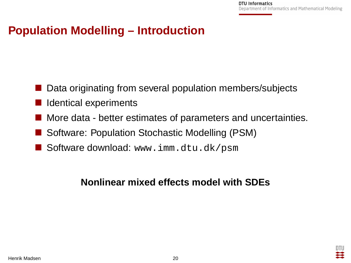#### **Population Modelling – Introduction**

- Data originating from several population members/subjects
- Identical experiments
- More data better estimates of parameters and uncertainties.
- Software: Population Stochastic Modelling (PSM)
- Software download: www.imm.dtu.dk/psm

#### **Nonlinear mixed effects model with SDEs**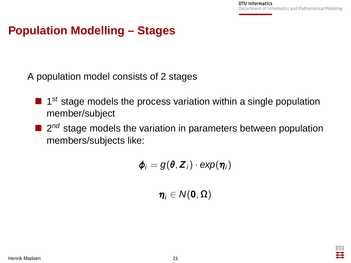## **Population Modelling – Stages**

A population model consists of 2 stages

- $\blacksquare$  1<sup>st</sup> stage models the process variation within a single population member/subject
- $\Box$  2<sup>nd</sup> stage models the variation in parameters between population members/subjects like:

$$
\boldsymbol{\phi}_i = g(\boldsymbol{\theta}, \boldsymbol{Z}_i) \cdot \exp(\boldsymbol{\eta}_i)
$$

 $\eta_i \in N(0, \Omega)$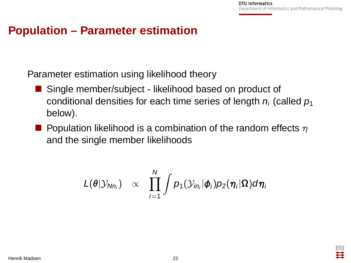#### **Population – Parameter estimation**

Parameter estimation using likelihood theory

- Single member/subject likelihood based on product of conditional densities for each time series of length  $n_i$  (called  $p_1$ below).
- **Population likelihood is a combination of the random effects**  $\eta$ and the single member likelihoods

$$
L(\boldsymbol{\theta}|\mathcal{Y}_{Nn_i}) \propto \prod_{i=1}^N \int p_1(\mathcal{Y}_{in_i}|\boldsymbol{\phi}_i)p_2(\boldsymbol{\eta}_i|\boldsymbol{\Omega})d\boldsymbol{\eta}_i
$$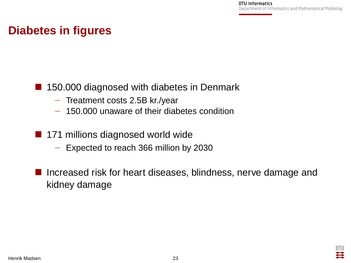#### **Diabetes in figures**

#### ■ 150.000 diagnosed with diabetes in Denmark

- − Treatment costs 2.5B kr./year
- − 150.000 unaware of their diabetes condition
- 171 millions diagnosed world wide
	- − Expected to reach 366 million by 2030
- <span id="page-24-0"></span>■ Increased risk for heart diseases, blindness, nerve damage and kidney damage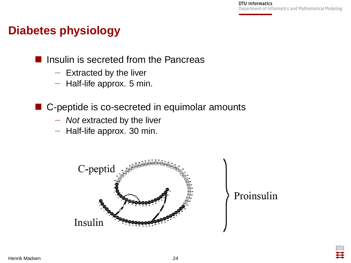#### **Diabetes physiology**

- Insulin is secreted from the Pancreas
	- − Extracted by the liver
	- − Half-life approx. 5 min.
- C-peptide is co-secreted in equimolar amounts
	- − Not extracted by the liver
	- − Half-life approx. 30 min.



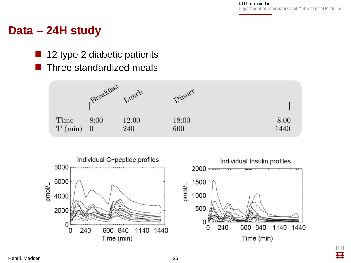DTU 芸

#### **Data – 24H study**

- 12 type 2 diabetic patients
	- Three standardized meals



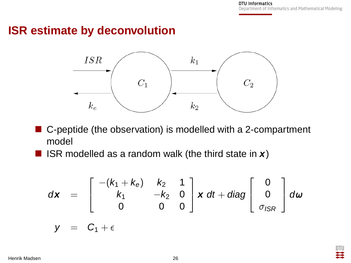#### **ISR estimate by deconvolution**



- C-peptide (the observation) is modelled with a 2-compartment model
- ISR modelled as a random walk (the third state in **x**)

$$
d\mathbf{x} = \begin{bmatrix} -(k_1 + k_0) & k_2 & 1 \\ k_1 & -k_2 & 0 \\ 0 & 0 & 0 \end{bmatrix} \mathbf{x} dt + diag \begin{bmatrix} 0 \\ 0 \\ \sigma_{ISR} \end{bmatrix} d\omega
$$

$$
y = C_1 + \epsilon
$$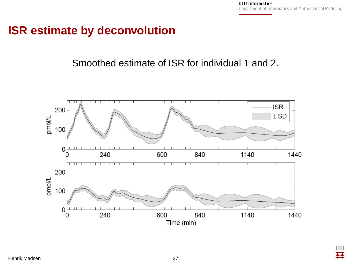DTU Ħ

#### **ISR estimate by deconvolution**

#### Smoothed estimate of ISR for individual 1 and 2.

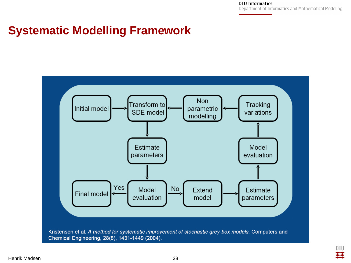> <span id="page-29-0"></span>DTU ≊

#### **Systematic Modelling Framework**

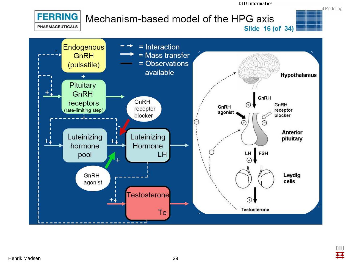

<span id="page-30-0"></span>DTU 芸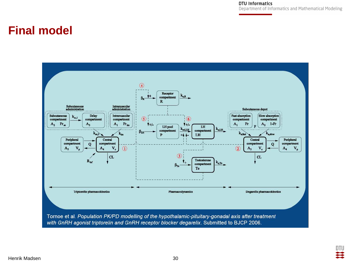> DTU Ħ

#### **Final model**

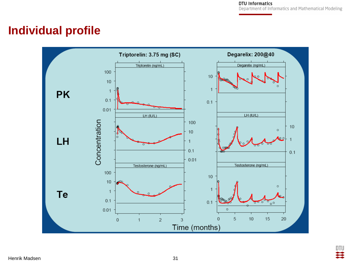#### **Individual profile**



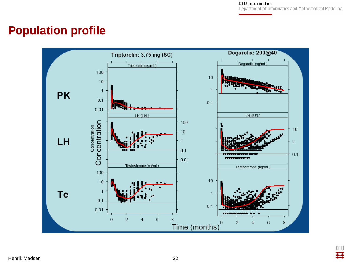#### **Population profile**